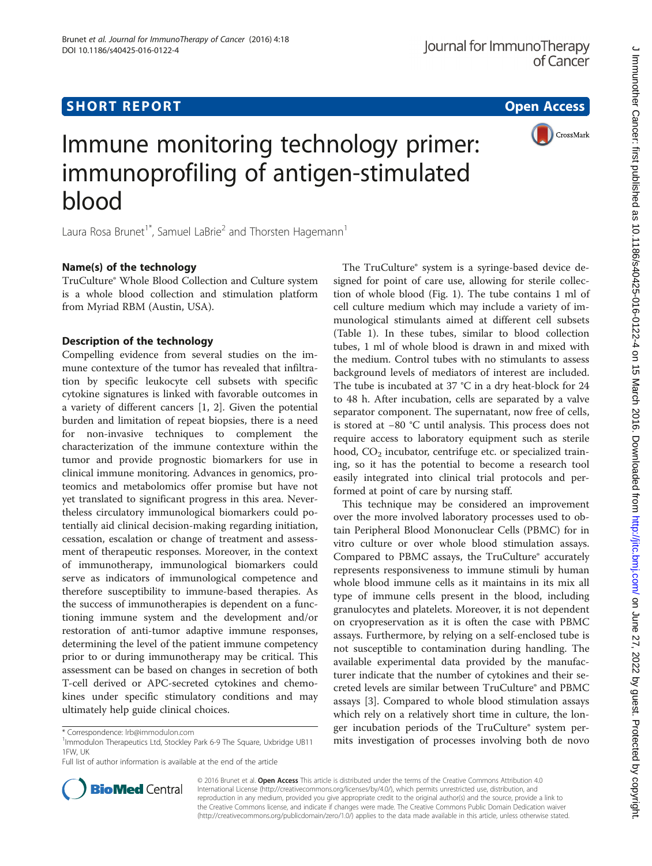## **SHORT REPORT SHORT CONSUMING THE SHORT CONSUMING THE SHORT CONSUMING THE SHORT CONSUMING THE SHORT CONSUMING THE SHORT CONSUMING THE SHORT CONSUMING THE SHORT CONSUMING THE SHORT CONSUMING THE SHORT CONSUMING THE SHORT**



# Immune monitoring technology primer: immunoprofiling of antigen-stimulated blood

Laura Rosa Brunet<sup>1\*</sup>, Samuel LaBrie<sup>2</sup> and Thorsten Hagemann<sup>1</sup>

## Name(s) of the technology

TruCulture® Whole Blood Collection and Culture system is a whole blood collection and stimulation platform from Myriad RBM (Austin, USA).

## Description of the technology

Compelling evidence from several studies on the immune contexture of the tumor has revealed that infiltration by specific leukocyte cell subsets with specific cytokine signatures is linked with favorable outcomes in a variety of different cancers [\[1](#page-3-0), [2](#page-3-0)]. Given the potential burden and limitation of repeat biopsies, there is a need for non-invasive techniques to complement the characterization of the immune contexture within the tumor and provide prognostic biomarkers for use in clinical immune monitoring. Advances in genomics, proteomics and metabolomics offer promise but have not yet translated to significant progress in this area. Nevertheless circulatory immunological biomarkers could potentially aid clinical decision-making regarding initiation, cessation, escalation or change of treatment and assessment of therapeutic responses. Moreover, in the context of immunotherapy, immunological biomarkers could serve as indicators of immunological competence and therefore susceptibility to immune-based therapies. As the success of immunotherapies is dependent on a functioning immune system and the development and/or restoration of anti-tumor adaptive immune responses, determining the level of the patient immune competency prior to or during immunotherapy may be critical. This assessment can be based on changes in secretion of both T-cell derived or APC-secreted cytokines and chemokines under specific stimulatory conditions and may ultimately help guide clinical choices.

The TruCulture® system is a syringe-based device designed for point of care use, allowing for sterile collection of whole blood (Fig. [1](#page-1-0)). The tube contains 1 ml of cell culture medium which may include a variety of immunological stimulants aimed at different cell subsets (Table [1\)](#page-1-0). In these tubes, similar to blood collection tubes, 1 ml of whole blood is drawn in and mixed with the medium. Control tubes with no stimulants to assess background levels of mediators of interest are included. The tube is incubated at 37  $°C$  in a dry heat-block for 24 to 48 h. After incubation, cells are separated by a valve separator component. The supernatant, now free of cells, is stored at −80 °C until analysis. This process does not require access to laboratory equipment such as sterile hood,  $CO<sub>2</sub>$  incubator, centrifuge etc. or specialized training, so it has the potential to become a research tool easily integrated into clinical trial protocols and performed at point of care by nursing staff.

This technique may be considered an improvement over the more involved laboratory processes used to obtain Peripheral Blood Mononuclear Cells (PBMC) for in vitro culture or over whole blood stimulation assays. Compared to PBMC assays, the TruCulture® accurately represents responsiveness to immune stimuli by human whole blood immune cells as it maintains in its mix all type of immune cells present in the blood, including granulocytes and platelets. Moreover, it is not dependent on cryopreservation as it is often the case with PBMC assays. Furthermore, by relying on a self-enclosed tube is not susceptible to contamination during handling. The available experimental data provided by the manufacturer indicate that the number of cytokines and their secreted levels are similar between TruCulture® and PBMC assays [\[3](#page-3-0)]. Compared to whole blood stimulation assays which rely on a relatively short time in culture, the longer incubation periods of the TruCulture® system perer incubation perious of the fructure system per-<br>Immodulon Therapeutics Ltd, Stockley Park 6-9 The Square, Uxbridge UB11 mits investigation of processes involving both de novo



© 2016 Brunet et al. Open Access This article is distributed under the terms of the Creative Commons Attribution 4.0 International License [\(http://creativecommons.org/licenses/by/4.0/](http://creativecommons.org/licenses/by/4.0/)), which permits unrestricted use, distribution, and reproduction in any medium, provided you give appropriate credit to the original author(s) and the source, provide a link to the Creative Commons license, and indicate if changes were made. The Creative Commons Public Domain Dedication waiver [\(http://creativecommons.org/publicdomain/zero/1.0/](http://creativecommons.org/publicdomain/zero/1.0/)) applies to the data made available in this article, unless otherwise stated.

<sup>&</sup>lt;sup>1</sup> Immodulon Therapeutics Ltd, Stockley Park 6-9 The Square, Uxbridge UB11 1FW, UK

Full list of author information is available at the end of the article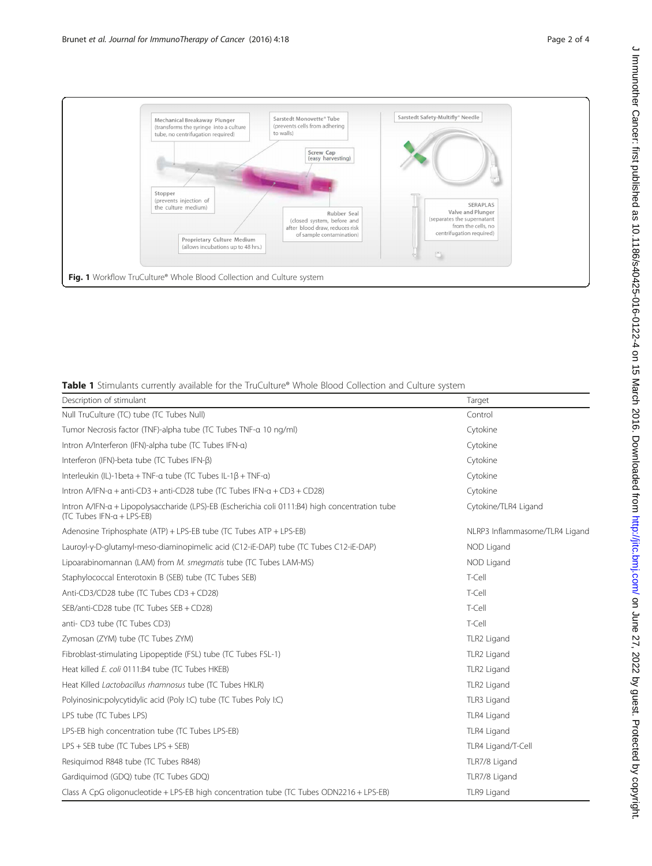<span id="page-1-0"></span>

## Table 1 Stimulants currently available for the TruCulture® Whole Blood Collection and Culture system

| Description of stimulant                                                                                                                | Target                         |
|-----------------------------------------------------------------------------------------------------------------------------------------|--------------------------------|
| Null TruCulture (TC) tube (TC Tubes Null)                                                                                               | Control                        |
| Tumor Necrosis factor (TNF)-alpha tube (TC Tubes TNF-a 10 ng/ml)                                                                        | Cytokine                       |
| Intron A/Interferon (IFN)-alpha tube (TC Tubes IFN-a)                                                                                   | Cytokine                       |
| Interferon (IFN)-beta tube (TC Tubes IFN-B)                                                                                             | Cytokine                       |
| Interleukin (IL)-1 beta + TNF-a tube (TC Tubes IL-1 $\beta$ + TNF-a)                                                                    | Cytokine                       |
| Intron A/IFN- $\alpha$ + anti-CD3 + anti-CD28 tube (TC Tubes IFN- $\alpha$ + CD3 + CD28)                                                | Cytokine                       |
| Intron A/IFN-a + Lipopolysaccharide (LPS)-EB (Escherichia coli 0111:B4) high concentration tube<br>$(TC)$ Tubes IFN- $\alpha$ + LPS-EB) | Cytokine/TLR4 Ligand           |
| Adenosine Triphosphate (ATP) + LPS-EB tube (TC Tubes ATP + LPS-EB)                                                                      | NLRP3 Inflammasome/TLR4 Ligand |
| Lauroyl-y-D-glutamyl-meso-diaminopimelic acid (C12-iE-DAP) tube (TC Tubes C12-iE-DAP)                                                   | NOD Ligand                     |
| Lipoarabinomannan (LAM) from M. smegmatis tube (TC Tubes LAM-MS)                                                                        | NOD Ligand                     |
| Staphylococcal Enterotoxin B (SEB) tube (TC Tubes SEB)                                                                                  | T-Cell                         |
| Anti-CD3/CD28 tube (TC Tubes CD3 + CD28)                                                                                                | T-Cell                         |
| SEB/anti-CD28 tube (TC Tubes SEB + CD28)                                                                                                | T-Cell                         |
| anti- CD3 tube (TC Tubes CD3)                                                                                                           | T-Cell                         |
| Zymosan (ZYM) tube (TC Tubes ZYM)                                                                                                       | TLR2 Ligand                    |
| Fibroblast-stimulating Lipopeptide (FSL) tube (TC Tubes FSL-1)                                                                          | TLR2 Ligand                    |
| Heat killed E. coli 0111:B4 tube (TC Tubes HKEB)                                                                                        | TLR2 Ligand                    |
| Heat Killed Lactobacillus rhamnosus tube (TC Tubes HKLR)                                                                                | TLR2 Ligand                    |
| Polyinosinic:polycytidylic acid (Poly I:C) tube (TC Tubes Poly I:C)                                                                     | TLR3 Ligand                    |
| LPS tube (TC Tubes LPS)                                                                                                                 | TLR4 Ligand                    |
| LPS-EB high concentration tube (TC Tubes LPS-EB)                                                                                        | TLR4 Ligand                    |
| LPS + SEB tube (TC Tubes LPS + SEB)                                                                                                     | TLR4 Ligand/T-Cell             |
| Resiguimod R848 tube (TC Tubes R848)                                                                                                    | TLR7/8 Ligand                  |
| Gardiguimod (GDQ) tube (TC Tubes GDQ)                                                                                                   | TLR7/8 Ligand                  |
| Class A CpG oligonucleotide + LPS-EB high concentration tube (TC Tubes ODN2216 + LPS-EB)                                                | TLR9 Ligand                    |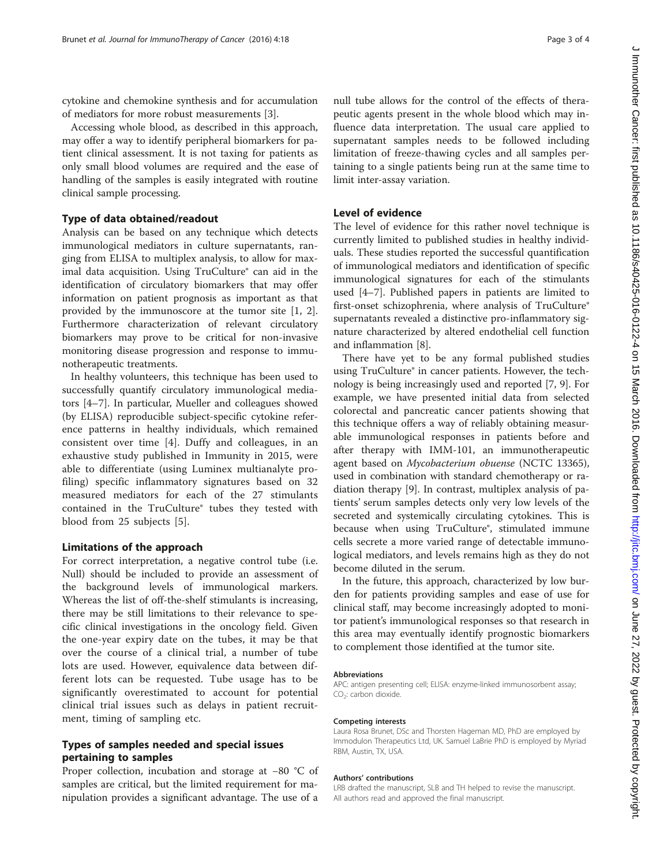cytokine and chemokine synthesis and for accumulation of mediators for more robust measurements [[3](#page-3-0)].

Accessing whole blood, as described in this approach, may offer a way to identify peripheral biomarkers for patient clinical assessment. It is not taxing for patients as only small blood volumes are required and the ease of handling of the samples is easily integrated with routine clinical sample processing.

### Type of data obtained/readout

Analysis can be based on any technique which detects immunological mediators in culture supernatants, ranging from ELISA to multiplex analysis, to allow for maximal data acquisition. Using TruCulture® can aid in the identification of circulatory biomarkers that may offer information on patient prognosis as important as that provided by the immunoscore at the tumor site [[1, 2](#page-3-0)]. Furthermore characterization of relevant circulatory biomarkers may prove to be critical for non-invasive monitoring disease progression and response to immunotherapeutic treatments.

In healthy volunteers, this technique has been used to successfully quantify circulatory immunological mediators [\[4](#page-3-0)–[7\]](#page-3-0). In particular, Mueller and colleagues showed (by ELISA) reproducible subject-specific cytokine reference patterns in healthy individuals, which remained consistent over time [[4\]](#page-3-0). Duffy and colleagues, in an exhaustive study published in Immunity in 2015, were able to differentiate (using Luminex multianalyte profiling) specific inflammatory signatures based on 32 measured mediators for each of the 27 stimulants contained in the TruCulture® tubes they tested with blood from 25 subjects [[5\]](#page-3-0).

#### Limitations of the approach

For correct interpretation, a negative control tube (i.e. Null) should be included to provide an assessment of the background levels of immunological markers. Whereas the list of off-the-shelf stimulants is increasing, there may be still limitations to their relevance to specific clinical investigations in the oncology field. Given the one-year expiry date on the tubes, it may be that over the course of a clinical trial, a number of tube lots are used. However, equivalence data between different lots can be requested. Tube usage has to be significantly overestimated to account for potential clinical trial issues such as delays in patient recruitment, timing of sampling etc.

## Types of samples needed and special issues pertaining to samples

Proper collection, incubation and storage at −80 °C of samples are critical, but the limited requirement for manipulation provides a significant advantage. The use of a

null tube allows for the control of the effects of therapeutic agents present in the whole blood which may influence data interpretation. The usual care applied to supernatant samples needs to be followed including limitation of freeze-thawing cycles and all samples pertaining to a single patients being run at the same time to limit inter-assay variation.

## Level of evidence

The level of evidence for this rather novel technique is currently limited to published studies in healthy individuals. These studies reported the successful quantification of immunological mediators and identification of specific immunological signatures for each of the stimulants used [[4](#page-3-0)–[7\]](#page-3-0). Published papers in patients are limited to first-onset schizophrenia, where analysis of TruCulture® supernatants revealed a distinctive pro-inflammatory signature characterized by altered endothelial cell function and inflammation [[8\]](#page-3-0).

There have yet to be any formal published studies using TruCulture® in cancer patients. However, the technology is being increasingly used and reported [\[7](#page-3-0), [9](#page-3-0)]. For example, we have presented initial data from selected colorectal and pancreatic cancer patients showing that this technique offers a way of reliably obtaining measurable immunological responses in patients before and after therapy with IMM-101, an immunotherapeutic agent based on Mycobacterium obuense (NCTC 13365), used in combination with standard chemotherapy or radiation therapy [\[9](#page-3-0)]. In contrast, multiplex analysis of patients' serum samples detects only very low levels of the secreted and systemically circulating cytokines. This is because when using TruCulture®, stimulated immune cells secrete a more varied range of detectable immunological mediators, and levels remains high as they do not become diluted in the serum.

In the future, this approach, characterized by low burden for patients providing samples and ease of use for clinical staff, may become increasingly adopted to monitor patient's immunological responses so that research in this area may eventually identify prognostic biomarkers to complement those identified at the tumor site.

#### Abbreviations

APC: antigen presenting cell; ELISA: enzyme-linked immunosorbent assay;  $CO<sub>2</sub>$ : carbon dioxide.

#### Competing interests

Laura Rosa Brunet, DSc and Thorsten Hageman MD, PhD are employed by Immodulon Therapeutics Ltd, UK. Samuel LaBrie PhD is employed by Myriad RBM, Austin, TX, USA.

#### Authors' contributions

LRB drafted the manuscript, SLB and TH helped to revise the manuscript. All authors read and approved the final manuscript.